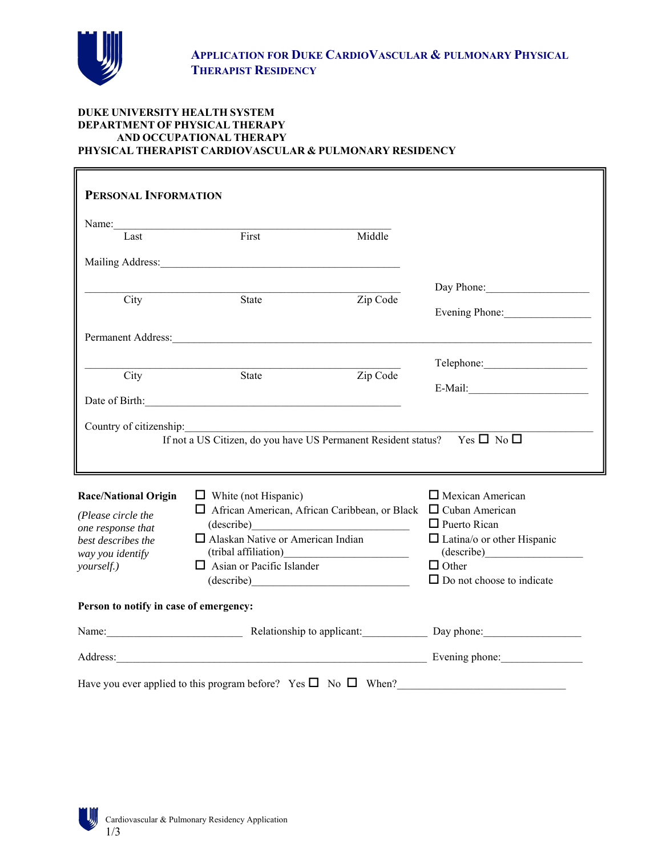

## **DUKE UNIVERSITY HEALTH SYSTEM DEPARTMENT OF PHYSICAL THERAPY AND OCCUPATIONAL THERAPY PHYSICAL THERAPIST CARDIOVASCULAR & PULMONARY RESIDENCY**

| PERSONAL INFORMATION                   |                                                                                                                                                                                                                                |          |                                                                                |  |  |
|----------------------------------------|--------------------------------------------------------------------------------------------------------------------------------------------------------------------------------------------------------------------------------|----------|--------------------------------------------------------------------------------|--|--|
|                                        |                                                                                                                                                                                                                                |          |                                                                                |  |  |
| Last                                   | $\overline{\text{First}}$                                                                                                                                                                                                      | Middle   |                                                                                |  |  |
|                                        | Mailing Address: Mailing Address: Mailing Address: Mailing Address: Mailing Address: Mailing Address: Mailing Address: Mailing Address: Mailing Address: Mailing Address: Mailing Address: Mailing Address: Mailing Address: M |          |                                                                                |  |  |
|                                        |                                                                                                                                                                                                                                |          | Day Phone:                                                                     |  |  |
| $\overline{C}$ ity                     | State                                                                                                                                                                                                                          | Zip Code |                                                                                |  |  |
|                                        |                                                                                                                                                                                                                                |          | Evening Phone:                                                                 |  |  |
|                                        | Permanent Address: New York Contract Address:                                                                                                                                                                                  |          |                                                                                |  |  |
|                                        |                                                                                                                                                                                                                                |          | Telephone:                                                                     |  |  |
| City                                   | State                                                                                                                                                                                                                          | Zip Code |                                                                                |  |  |
|                                        | Date of Birth: 2000 and 2000 and 2000 and 2000 and 2000 and 2000 and 2000 and 2000 and 2000 and 2000 and 2000 and 2000 and 2000 and 2000 and 2000 and 2000 and 2000 and 2000 and 2000 and 2000 and 2000 and 2000 and 2000 and  |          | E-Mail:                                                                        |  |  |
|                                        |                                                                                                                                                                                                                                |          |                                                                                |  |  |
| Country of citizenship:                | <u> 1989 - Andrea Station, amerikansk politik (</u>                                                                                                                                                                            |          |                                                                                |  |  |
|                                        | If not a US Citizen, do you have US Permanent Resident status?  Yes □ No □                                                                                                                                                     |          |                                                                                |  |  |
|                                        |                                                                                                                                                                                                                                |          |                                                                                |  |  |
| <b>Race/National Origin</b>            | $\Box$ White (not Hispanic)                                                                                                                                                                                                    |          | $\Box$ Mexican American                                                        |  |  |
| (Please circle the                     | $\Box$ African American, African Caribbean, or Black $\Box$ Cuban American                                                                                                                                                     |          |                                                                                |  |  |
| one response that                      | $\frac{1}{\text{ (describe)}}$                                                                                                                                                                                                 |          | $\Box$ Puerto Rican                                                            |  |  |
| best describes the                     | $\Box$ Alaskan Native or American Indian                                                                                                                                                                                       |          | $\Box$ Latina/o or other Hispanic                                              |  |  |
| way you identify                       |                                                                                                                                                                                                                                |          | (describe)                                                                     |  |  |
| yourself.)                             | $\Box$ Asian or Pacific Islander                                                                                                                                                                                               |          | $\Box$ Other                                                                   |  |  |
|                                        | (describe)                                                                                                                                                                                                                     |          | $\Box$ Do not choose to indicate                                               |  |  |
| Person to notify in case of emergency: |                                                                                                                                                                                                                                |          |                                                                                |  |  |
|                                        | Name: Name: Name: Name: Name: Name: Name: Name: Name: Name: Name: Name: Name: Name: Name: Name: Name: Name: Name: Name: Name: Name: Name: Name: Name: Name: Name: Name: Name: Name: Name: Name: Name: Name: Name: Name: Name:  |          |                                                                                |  |  |
|                                        |                                                                                                                                                                                                                                |          | Address: Evening phone: Evening phone:                                         |  |  |
|                                        |                                                                                                                                                                                                                                |          | Have you ever applied to this program before? Yes $\square$ No $\square$ When? |  |  |

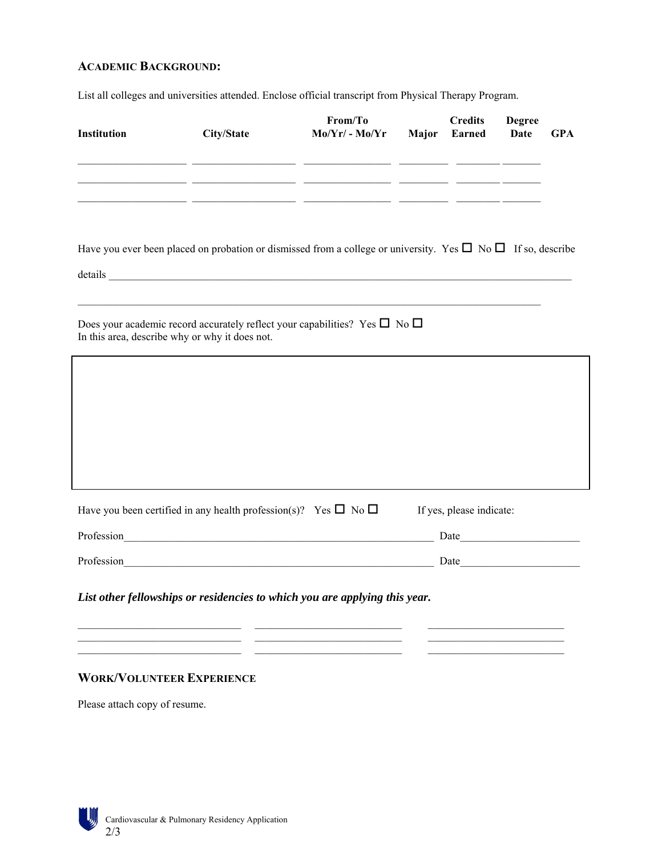# **ACADEMIC BACKGROUND:**

List all colleges and universities attended. Enclose official transcript from Physical Therapy Program.

| <b>Institution</b>                                                                                                                                                                                                                                                                                                                                             | City/State | From/To<br>$Mo/Yr/$ - $Mo/Yr$                                                                                        | <b>Major</b> | <b>Credits</b><br><b>Earned</b> | <b>Degree</b><br><b>Date</b> | <b>GPA</b> |
|----------------------------------------------------------------------------------------------------------------------------------------------------------------------------------------------------------------------------------------------------------------------------------------------------------------------------------------------------------------|------------|----------------------------------------------------------------------------------------------------------------------|--------------|---------------------------------|------------------------------|------------|
|                                                                                                                                                                                                                                                                                                                                                                |            | <u> 1999 - Jacques Alexandro (Jacques Alexandro III) establecente a la contrada de la contrada de la contrada de</u> |              |                                 |                              |            |
|                                                                                                                                                                                                                                                                                                                                                                |            | <u> 1990 - John Alexander (d. 1980)</u>                                                                              |              |                                 |                              |            |
| Have you ever been placed on probation or dismissed from a college or university. Yes $\Box$ No $\Box$ If so, describe<br>details <u>and a series of the series of the series of the series of the series of the series of the series of the series of the series of the series of the series of the series of the series of the series of the series of t</u> |            |                                                                                                                      |              |                                 |                              |            |
| Does your academic record accurately reflect your capabilities? Yes $\square$ No $\square$<br>In this area, describe why or why it does not.                                                                                                                                                                                                                   |            |                                                                                                                      |              |                                 |                              |            |
|                                                                                                                                                                                                                                                                                                                                                                |            |                                                                                                                      |              |                                 |                              |            |
|                                                                                                                                                                                                                                                                                                                                                                |            |                                                                                                                      |              |                                 |                              |            |
|                                                                                                                                                                                                                                                                                                                                                                |            |                                                                                                                      |              |                                 |                              |            |
|                                                                                                                                                                                                                                                                                                                                                                |            |                                                                                                                      |              |                                 |                              |            |
| Have you been certified in any health profession(s)? Yes $\square$ No $\square$                                                                                                                                                                                                                                                                                |            |                                                                                                                      |              | If yes, please indicate:        |                              |            |
| Profession                                                                                                                                                                                                                                                                                                                                                     |            | <u> 1989 - Jan James James James James James James James James James James James James James James James James J</u> |              | Date                            |                              |            |
| Profession <u>and the contract of the contract of the contract of the contract of the contract of the contract of the contract of the contract of the contract of the contract of the contract of the contract of the contract o</u>                                                                                                                           |            |                                                                                                                      |              |                                 |                              |            |
| List other fellowships or residencies to which you are applying this year.                                                                                                                                                                                                                                                                                     |            |                                                                                                                      |              |                                 |                              |            |

 $\mathcal{L}_\text{max}$ 

 $\frac{1}{2}$  ,  $\frac{1}{2}$  ,  $\frac{1}{2}$  ,  $\frac{1}{2}$  ,  $\frac{1}{2}$  ,  $\frac{1}{2}$  ,  $\frac{1}{2}$  ,  $\frac{1}{2}$  ,  $\frac{1}{2}$  ,  $\frac{1}{2}$  ,  $\frac{1}{2}$  ,  $\frac{1}{2}$  ,  $\frac{1}{2}$  ,  $\frac{1}{2}$  ,  $\frac{1}{2}$  ,  $\frac{1}{2}$  ,  $\frac{1}{2}$  ,  $\frac{1}{2}$  ,  $\frac{1$ 

## **WORK/VOLUNTEER EXPERIENCE**

Please attach copy of resume.